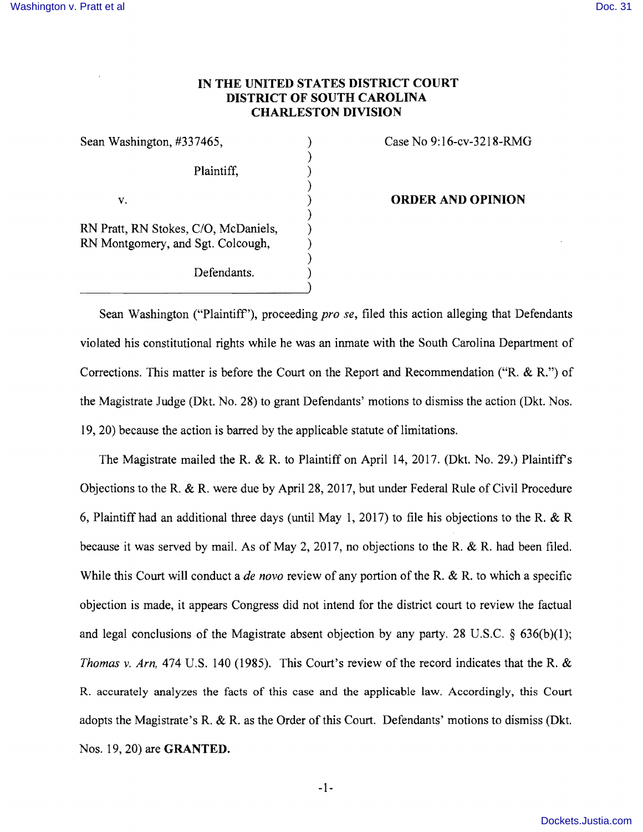## **IN THE UNITED STATES DISTRICT COURT DISTRICT OF SOUTH CAROLINA CHARLESTON DIVISION**

)

)

)

 $)$ 

)

Plaintiff, (1)

RN Pratt, RN Stokes, C/O, McDaniels, ) RN Montgomery, and Sgt. Colcough,

Defendants.

## Sean Washington, #337465, (a) Case No 9:16-cv-3218-RMG

## v. ) **ORDER AND OPINION**

Sean Washington ("Plaintiff'), proceeding *pro se,* filed this action alleging that Defendants violated his constitutional rights while he was an inmate with the South Carolina Department of Corrections. This matter is before the Court on the Report and Recommendation ("R. & R.") of the Magistrate Judge (Dkt. No. 28) to grant Defendants' motions to dismiss the action (Dkt. Nos. 19, 20) because the action is barred by the applicable statute of limitations.

The Magistrate mailed the R. & R. to Plaintiff on April 14, 2017. (Dkt. No. 29.) Plaintiff's Objections to the R. & R. were due by April 28, 2017, but under Federal Rule of Civil Procedure 6, Plaintiff had an additional three days (until May 1, 2017) to file his objections to the R. & R because it was served by mail. As of May 2, 2017, no objections to the R. & R. had been filed. While this Court will conduct a *de novo* review of any portion of the R. & R. to which a specific objection is made, it appears Congress did not intend for the district court to review the factual and legal conclusions of the Magistrate absent objection by any party. 28 U.S.C.  $\S$  636(b)(1); *Thomas* v. *Arn,* 474 U.S. 140 (1985). This Court's review of the record indicates that the R. & R. accurately analyzes the facts of this case and the applicable law. Accordingly, this Court adopts the Magistrate's R. & R. as the Order of this Court. Defendants' motions to dismiss (Dkt. Nos. 19, 20) are **GRANTED.**